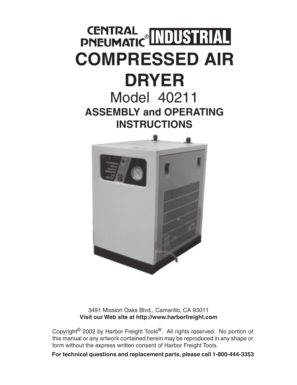# CENTRAL MUUSTRIAL **COMPRESSED AIR DRYER** Model 40211

**ASSEMBLY and OPERATING INSTRUCTIONS**



3491 Mission Oaks Blvd., Camarillo, CA 93011 **Visit our Web site at http://www.harborfreight.com**

Copyright© 2002 by Harbor Freight Tools®. All rights reserved. No portion of this manual or any artwork contained herein may be reproduced in any shape or form without the express written consent of Harbor Freight Tools.

**For technical questions and replacement parts, please call 1-800-444-3353**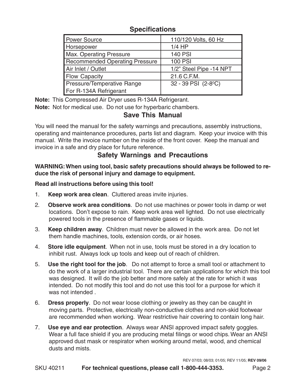## **Specifications**

| <b>Power Source</b>                   | 110/120 Volts, 60 Hz      |
|---------------------------------------|---------------------------|
| Horsepower                            | $1/4$ HP                  |
| <b>Max. Operating Pressure</b>        | <b>140 PSI</b>            |
| <b>Recommended Operating Pressure</b> | <b>100 PSI</b>            |
| Air Inlet / Outlet                    | 1/2" Steel Pipe -14 NPT   |
| <b>Flow Capacity</b>                  | 21.6 C.F.M.               |
| <b>Pressure/Temperative Range</b>     | $32 - 39$ PSI $(2-8)$ °C) |
| For R-134A Refrigerant                |                           |

**Note:** This Compressed Air Dryer uses R-134A Refrigerant.

**Note:** Not for medical use. Do not use for hyperbaric chambers.

# **Save This Manual**

You will need the manual for the safety warnings and precautions, assembly instructions, operating and maintenance procedures, parts list and diagram. Keep your invoice with this manual. Write the invoice number on the inside of the front cover. Keep the manual and invoice in a safe and dry place for future reference.

# **Safety Warnings and Precautions**

**WARNING: When using tool, basic safety precautions should always be followed to reduce the risk of personal injury and damage to equipment.**

#### **Read all instructions before using this tool!**

- 1. **Keep work area clean**. Cluttered areas invite injuries.
- 2. **Observe work area conditions**. Do not use machines or power tools in damp or wet locations. Don't expose to rain. Keep work area well lighted. Do not use electrically powered tools in the presence of flammable gases or liquids.
- 3. **Keep children away**. Children must never be allowed in the work area. Do not let them handle machines, tools, extension cords, or air hoses.
- 4. **Store idle equipment**. When not in use, tools must be stored in a dry location to inhibit rust. Always lock up tools and keep out of reach of children.
- 5. **Use the right tool for the job**. Do not attempt to force a small tool or attachment to do the work of a larger industrial tool. There are certain applications for which this tool was designed. It will do the job better and more safely at the rate for which it was intended. Do not modify this tool and do not use this tool for a purpose for which it was not intended.
- 6. **Dress properly**. Do not wear loose clothing or jewelry as they can be caught in moving parts. Protective, electrically non-conductive clothes and non-skid footwear are recommended when working. Wear restrictive hair covering to contain long hair.
- 7. **Use eye and ear protection**. Always wear ANSI approved impact safety goggles. Wear a full face shield if you are producing metal filings or wood chips. Wear an ANSI approved dust mask or respirator when working around metal, wood, and chemical dusts and mists.

REV 07/03; 08/03; 01/05; REV 11/05; **REV 09/06**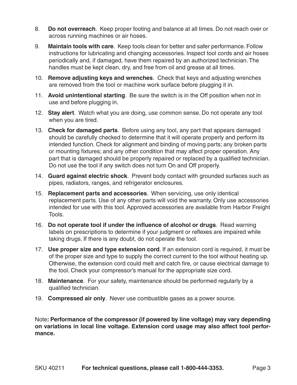- 8. **Do not overreach**. Keep proper footing and balance at all times. Do not reach over or across running machines or air hoses.
- 9. **Maintain tools with care**. Keep tools clean for better and safer performance. Follow instructions for lubricating and changing accessories. Inspect tool cords and air hoses periodically and, if damaged, have them repaired by an authorized technician. The handles must be kept clean, dry, and free from oil and grease at all times.
- 10. **Remove adjusting keys and wrenches**. Check that keys and adjusting wrenches are removed from the tool or machine work surface before plugging it in.
- 11. **Avoid unintentional starting**. Be sure the switch is in the Off position when not in use and before plugging in.
- 12. **Stay alert**. Watch what you are doing, use common sense. Do not operate any tool when you are tired.
- 13. **Check for damaged parts**. Before using any tool, any part that appears damaged should be carefully checked to determine that it will operate properly and perform its intended function. Check for alignment and binding of moving parts; any broken parts or mounting fixtures; and any other condition that may affect proper operation. Any part that is damaged should be properly repaired or replaced by a qualified technician. Do not use the tool if any switch does not turn On and Off properly.
- 14. **Guard against electric shock**. Prevent body contact with grounded surfaces such as pipes, radiators, ranges, and refrigerator enclosures.
- 15. **Replacement parts and accessories**. When servicing, use only identical replacement parts. Use of any other parts will void the warranty. Only use accessories intended for use with this tool. Approved accessories are available from Harbor Freight Tools.
- 16. **Do not operate tool if under the influence of alcohol or drugs**. Read warning labels on prescriptions to determine if your judgment or reflexes are impaired while taking drugs. If there is any doubt, do not operate the tool.
- 17. **Use proper size and type extension cord**. If an extension cord is required, it must be of the proper size and type to supply the correct current to the tool without heating up. Otherwise, the extension cord could melt and catch fire, or cause electrical damage to the tool. Check your compressor's manual for the appropriate size cord.
- 18. **Maintenance**. For your safety, maintenance should be performed regularly by a qualified technician.
- 19. **Compressed air only**. Never use combustible gases as a power source.

Note**: Performance of the compressor (if powered by line voltage) may vary depending on variations in local line voltage. Extension cord usage may also affect tool performance.**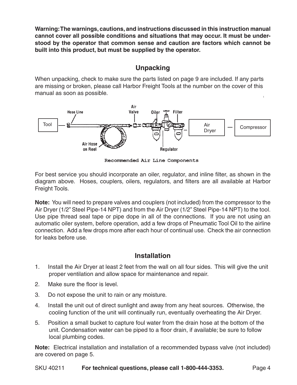**Warning: The warnings, cautions, and instructions discussed in this instruction manual cannot cover all possible conditions and situations that may occur. It must be understood by the operator that common sense and caution are factors which cannot be built into this product, but must be supplied by the operator.**

# **Unpacking**

When unpacking, check to make sure the parts listed on page 9 are included. If any parts are missing or broken, please call Harbor Freight Tools at the number on the cover of this manual as soon as possible.



Recommended Air Line Components

For best service you should incorporate an oiler, regulator, and inline filter, as shown in the diagram above. Hoses, couplers, oilers, regulators, and filters are all available at Harbor Freight Tools.

**Note:** You will need to prepare valves and couplers (not included) from the compressor to the Air Dryer (1/2" Steel Pipe-14 NPT) and from the Air Dryer (1/2" Steel Pipe-14 NPT) to the tool. Use pipe thread seal tape or pipe dope in all of the connections. If you are not using an automatic oiler system, before operation, add a few drops of Pneumatic Tool Oil to the airline connection. Add a few drops more after each hour of continual use. Check the air connection for leaks before use.

# **Installation**

- 1. Install the Air Dryer at least 2 feet from the wall on all four sides. This will give the unit proper ventilation and allow space for maintenance and repair.
- 2. Make sure the floor is level.
- 3. Do not expose the unit to rain or any moisture.
- 4. Install the unit out of direct sunlight and away from any heat sources. Otherwise, the cooling function of the unit will continually run, eventually overheating the Air Dryer.
- 5. Position a small bucket to capture foul water from the drain hose at the bottom of the unit. Condensation water can be piped to a floor drain, if available; be sure to follow local plumbing codes.

**Note:** Electrical installation and installation of a recommended bypass valve (not included) are covered on page 5.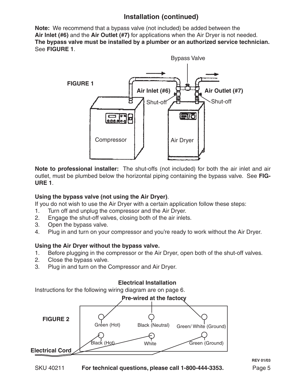# **Installation (continued)**

**Note:** We recommend that a bypass valve (not included) be added between the **Air Inlet (#6)** and the **Air Outlet (#7)** for applications when the Air Dryer is not needed. **The bypass valve must be installed by a plumber or an authorized service technician.** See **FIGURE 1**.



**Note to professional installer:** The shut-offs (not included) for both the air inlet and air outlet, must be plumbed below the horizontal piping containing the bypass valve. See **FIG-URE 1**.

#### **Using the bypass valve (not using the Air Dryer)**.

If you do not wish to use the Air Dryer with a certain application follow these steps:

- 1. Turn off and unplug the compressor and the Air Dryer.
- 2. Engage the shut-off valves, closing both of the air inlets.
- 3. Open the bypass valve.
- 4. Plug in and turn on your compressor and you're ready to work without the Air Dryer.

#### **Using the Air Dryer without the bypass valve.**

- 1. Before plugging in the compressor or the Air Dryer, open both of the shut-off valves.
- 2. Close the bypass valve.
- 3. Plug in and turn on the Compressor and Air Dryer.

#### **Electrical Installation**

Instructions for the following wiring diagram are on page 6.

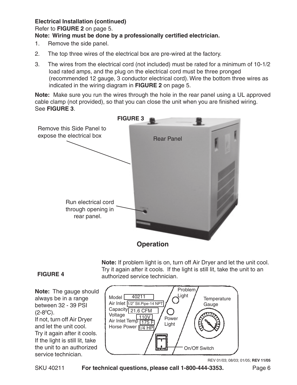#### **Electrical Installation (continued)**

Refer to **FIGURE 2** on page 5.

#### **Note: Wiring must be done by a professionally certified electrician.**

- 1. Remove the side panel.
- 2. The top three wires of the electrical box are pre-wired at the factory.
- 3. The wires from the electrical cord (not included) must be rated for a minimum of 10-1/2 load rated amps, and the plug on the electrical cord must be three pronged (recommended 12 gauge, 3 conductor electrical cord). Wire the bottom three wires as indicated in the wiring diagram in **FIGURE 2** on page 5.

**Note:** Make sure you run the wires through the hole in the rear panel using a UL approved cable clamp (not provided), so that you can close the unit when you are finished wiring. See **FIGURE 3**.



**Note:** If problem light is on, turn off Air Dryer and let the unit cool. Try it again after it cools. If the light is still lit, take the unit to an authorized service technician.

#### **FIGURE 4**

**Note:** The gauge should always be in a range between 32 - 39 PSI  $(2-8°C)$ . If not, turn off Air Dryer and let the unit cool. Try it again after it cools. If the light is still lit, take the unit to an authorized service technician.



REV 01/03; 08/03; 01/05; **REV 11/05**

SKU 40211 **For technical questions, please call 1-800-444-3353.** Page 6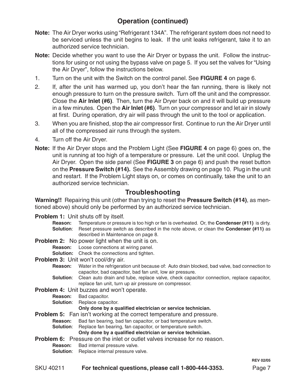# **Operation (continued)**

- **Note:** The Air Dryer works using "Refrigerant 134A". The refrigerant system does not need to be serviced unless the unit begins to leak. If the unit leaks refrigerant, take it to an authorized service technician.
- **Note:** Decide whether you want to use the Air Dryer or bypass the unit. Follow the instructions for using or not using the bypass valve on page 5. If you set the valves for "Using the Air Dryer", follow the instructions below.
- 1. Turn on the unit with the Switch on the control panel. See **FIGURE 4** on page 6.
- 2. If, after the unit has warmed up, you don't hear the fan running, there is likely not enough pressure to turn on the pressure switch. Turn off the unit and the compressor. Close the **Air Inlet (#6)**. Then, turn the Air Dryer back on and it will build up pressure in a few minutes. Open the **Air Inlet (#6)**. Turn on your compressor and let air in slowly at first. During operation, dry air will pass through the unit to the tool or application.
- 3. When you are finished, stop the air compressor first. Continue to run the Air Dryer until all of the compressed air runs through the system.
- 4. Turn off the Air Dryer.
- **Note:** If the Air Dryer stops and the Problem Light (See **FIGURE 4** on page 6) goes on, the unit is running at too high of a temperature or pressure. Let the unit cool. Unplug the Air Dryer. Open the side panel (See **FIGURE 3** on page 6) and push the reset button on the **Pressure Switch (#14).** See the Assembly drawing on page 10. Plug in the unit and restart. If the Problem Light stays on, or comes on continually, take the unit to an authorized service technician.

## **Troubleshooting**

**Warning!!** Repairing this unit (other than trying to reset the **Pressure Switch (#14)**, as mentioned above) should only be performed by an authorized service technician.

**Problem 1:** Unit shuts off by itself.

**Reason:** Temperature or pressure is too high or fan is overheated. Or, the **Condenser (#11)** is dirty. **Solution**: Reset pressure switch as described in the note above, or clean the **Condenser (#11)** as described in Maintenance on page 8.

**Problem 2:** No power light when the unit is on.

- **Reason:** Loose connections at wiring panel.
- **Solution:** Check the connections and tighten.
- **Problem 3:** Unit won't cool/dry air.
	- **Reason:** Water in the refrigeration unit because of: Auto drain blocked, bad valve, bad connection to capacitor, bad capacitor, bad fan unit, low air pressure.
	- **Solution**: Clean auto drain and tube, replace valve, check capacitor connection, replace capacitor, replace fan unit, turn up air pressure on compressor.
- **Problem 4:** Unit buzzes and won't operate.
	- **Reason:** Bad capacitor.
	- **Solution:** Replace capacitor.

#### **Only done by a qualified electrician or service technician.**

- **Problem 5:** Fan isn't working at the correct temperature and pressure.
	- **Reason:** Bad fan bearing, bad fan capacitor, or bad temperature switch.
	- **Solution:** Replace fan bearing, fan capacitor, or temperature switch.

**Only done by a qualified electrician or service technician.**

- **Problem 6:** Pressure on the inlet or outlet valves increase for no reason.
	- **Reason:** Bad internal pressure valve.
	- **Solution**: Replace internal pressure valve.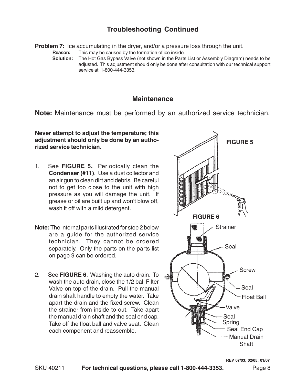## **Troubleshooting Continued**

**Problem 7:** Ice accumulating in the dryer, and/or a pressure loss through the unit.

**Reason:** This may be caused by the formation of ice inside.<br>**Solution:** The Hot Gas Bypass Valye (not shown in the Parts

**Solution:** The Hot Gas Bypass Valve (not shown in the Parts List or Assembly Diagram) needs to be adjusted. This adjustment should only be done after consultation with our technical support service at: 1-800-444-3353.

#### **Maintenance**

**Note:** Maintenance must be performed by an authorized service technician.

**Never attempt to adjust the temperature; this adjustment should only be done by an authorized service technician.**

- 1. See **FIGURE 5.** Periodically clean the **Condenser (#11)**. Use a dust collector and an air gun to clean dirt and debris. Be careful not to get too close to the unit with high pressure as you will damage the unit. If grease or oil are built up and won't blow off, wash it off with a mild detergent.
- **Note:** The internal parts illustrated for step 2 below are a guide for the authorized service technician. They cannot be ordered separately. Only the parts on the parts list on page 9 can be ordered.
- 2. See **FIGURE 6**. Washing the auto drain. To wash the auto drain, close the 1/2 ball Filter Valve on top of the drain. Pull the manual drain shaft handle to empty the water. Take apart the drain and the fixed screw. Clean the strainer from inside to out. Take apart the manual drain shaft and the seal end cap. Take off the float ball and valve seat. Clean each component and reassemble.

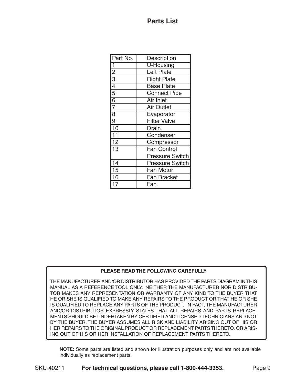| Part No.        | Description            |
|-----------------|------------------------|
| 1               | <b>U-Housing</b>       |
| $\frac{2}{3}$   | <b>Left Plate</b>      |
|                 | <b>Right Plate</b>     |
| $\frac{4}{5}$   | <b>Base Plate</b>      |
|                 | <b>Connect Pipe</b>    |
| $\frac{6}{7}$   | <b>Air Inlet</b>       |
|                 | <b>Air Outlet</b>      |
| $\overline{8}$  | Evaporator             |
| $\overline{9}$  | <b>Filter Valve</b>    |
| 10              | Drain                  |
| $\overline{11}$ | Condenser              |
| $\overline{12}$ | Compressor             |
| $\overline{13}$ | <b>Fan Control</b>     |
|                 | <b>Pressure Switch</b> |
| 14              | <b>Pressure Switch</b> |
| 15              | Fan Motor              |
| 16              | <b>Fan Bracket</b>     |
|                 | Fan                    |

#### **PLEASE READ THE FOLLOWING CAREFULLY**

THE MANUFACTURER AND/OR DISTRIBUTOR HAS PROVIDED THE PARTS DIAGRAM IN THIS MANUAL AS A REFERENCE TOOL ONLY. NEITHER THE MANUFACTURER NOR DISTRIBU-TOR MAKES ANY REPRESENTATION OR WARRANTY OF ANY KIND TO THE BUYER THAT HE OR SHE IS QUALIFIED TO MAKE ANY REPAIRS TO THE PRODUCT OR THAT HE OR SHE IS QUALIFIED TO REPLACE ANY PARTS OF THE PRODUCT. IN FACT, THE MANUFACTURER AND/OR DISTRIBUTOR EXPRESSLY STATES THAT ALL REPAIRS AND PARTS REPLACE-MENTS SHOULD BE UNDERTAKEN BY CERTIFIED AND LICENSED TECHNICIANS AND NOT BY THE BUYER. THE BUYER ASSUMES ALL RISK AND LIABILITY ARISING OUT OF HIS OR HER REPAIRS TO THE ORIGINAL PRODUCT OR REPLACEMENT PARTS THERETO, OR ARIS-ING OUT OF HIS OR HER INSTALLATION OF REPLACEMENT PARTS THERETO.

**NOTE**: Some parts are listed and shown for illustration purposes only and are not available individually as replacement parts.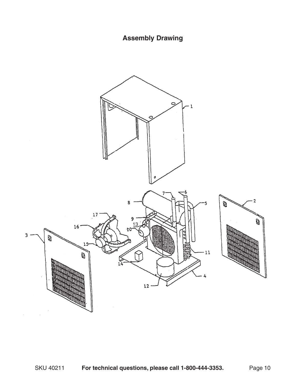# **Assembly Drawing**